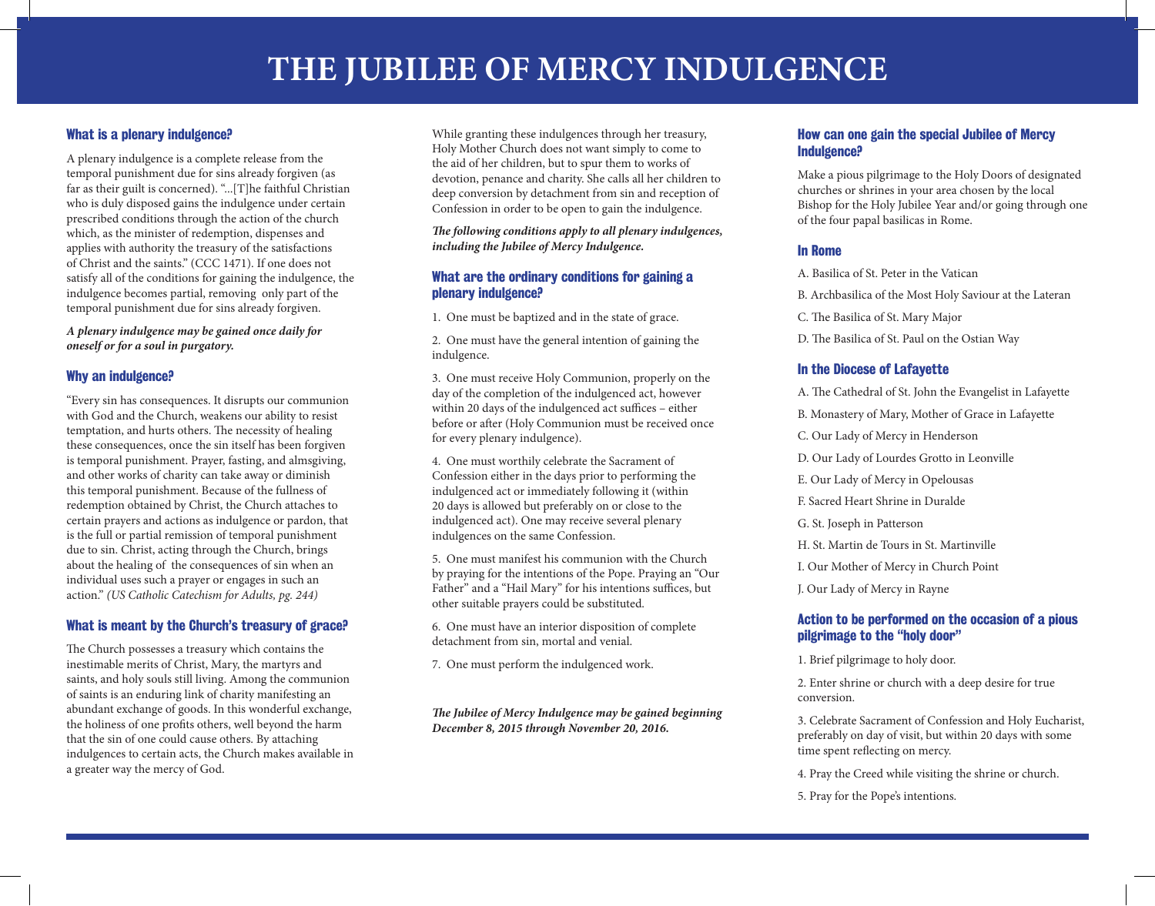# What is a plenary indulgence?

A plenary indulgence is a complete release from the temporal punishment due for sins already forgiven (as far as their guilt is concerned). "...[T]he faithful Christian who is duly disposed gains the indulgence under certain prescribed conditions through the action of the church which, as the minister of redemption, dispenses and applies with authority the treasury of the satisfactions of Christ and the saints." (CCC 1471). If one does not satisfy all of the conditions for gaining the indulgence, the indulgence becomes partial, removing only part of the temporal punishment due for sins already forgiven.

*A plenary indulgence may be gained once daily for oneself or for a soul in purgatory.*

## Why an indulgence?

"Every sin has consequences. It disrupts our communion with God and the Church, weakens our ability to resist temptation, and hurts others. The necessity of healing these consequences, once the sin itself has been forgiven is temporal punishment. Prayer, fasting, and almsgiving, and other works of charity can take away or diminish this temporal punishment. Because of the fullness of redemption obtained by Christ, the Church attaches to certain prayers and actions as indulgence or pardon, that is the full or partial remission of temporal punishment due to sin. Christ, acting through the Church, brings about the healing of the consequences of sin when an individual uses such a prayer or engages in such an action." *(US Catholic Catechism for Adults, pg. 244)*

## What is meant by the Church's treasury of grace?

The Church possesses a treasury which contains the inestimable merits of Christ, Mary, the martyrs and saints, and holy souls still living. Among the communion of saints is an enduring link of charity manifesting an abundant exchange of goods. In this wonderful exchange, the holiness of one profits others, well beyond the harm that the sin of one could cause others. By attaching indulgences to certain acts, the Church makes available in a greater way the mercy of God.

While granting these indulgences through her treasury, Holy Mother Church does not want simply to come to the aid of her children, but to spur them to works of devotion, penance and charity. She calls all her children to deep conversion by detachment from sin and reception of Confession in order to be open to gain the indulgence.

*The following conditions apply to all plenary indulgences, including the Jubilee of Mercy Indulgence.*

### What are the ordinary conditions for gaining a plenary indulgence?

- 1. One must be baptized and in the state of grace.
- 2. One must have the general intention of gaining the indulgence.

3. One must receive Holy Communion, properly on the day of the completion of the indulgenced act, however within 20 days of the indulgenced act suffices – either before or after (Holy Communion must be received once for every plenary indulgence).

4. One must worthily celebrate the Sacrament of Confession either in the days prior to performing the indulgenced act or immediately following it (within 20 days is allowed but preferably on or close to the indulgenced act). One may receive several plenary indulgences on the same Confession.

5. One must manifest his communion with the Church by praying for the intentions of the Pope. Praying an "Our Father" and a "Hail Mary" for his intentions suffices, but other suitable prayers could be substituted.

- 6. One must have an interior disposition of complete detachment from sin, mortal and venial.
- 7. One must perform the indulgenced work.

*The Jubilee of Mercy Indulgence may be gained beginning December 8, 2015 through November 20, 2016.*

#### How can one gain the special Jubilee of Mercy Indulgence?

Make a pious pilgrimage to the Holy Doors of designated churches or shrines in your area chosen by the local Bishop for the Holy Jubilee Year and/or going through one of the four papal basilicas in Rome.

## In Rome

- A. Basilica of St. Peter in the Vatican
- B. Archbasilica of the Most Holy Saviour at the Lateran
- C. The Basilica of St. Mary Major
- D. The Basilica of St. Paul on the Ostian Way

## In the Diocese of Lafayette

- A. The Cathedral of St. John the Evangelist in Lafayette
- B. Monastery of Mary, Mother of Grace in Lafayette
- C. Our Lady of Mercy in Henderson
- D. Our Lady of Lourdes Grotto in Leonville
- E. Our Lady of Mercy in Opelousas
- F. Sacred Heart Shrine in Duralde
- G. St. Joseph in Patterson
- H. St. Martin de Tours in St. Martinville
- I. Our Mother of Mercy in Church Point
- J. Our Lady of Mercy in Rayne

## Action to be performed on the occasion of a pious pilgrimage to the "holy door"

1. Brief pilgrimage to holy door.

2. Enter shrine or church with a deep desire for true conversion.

3. Celebrate Sacrament of Confession and Holy Eucharist, preferably on day of visit, but within 20 days with some time spent reflecting on mercy.

- 4. Pray the Creed while visiting the shrine or church.
- 5. Pray for the Pope's intentions.